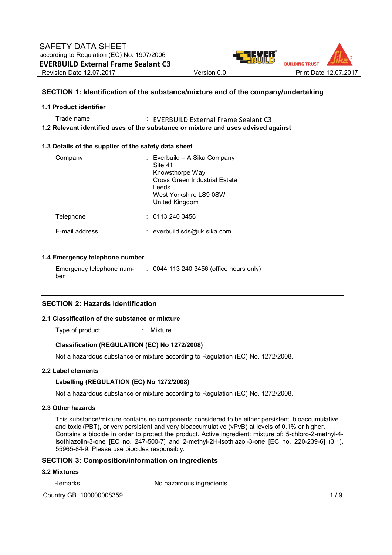

# **SECTION 1: Identification of the substance/mixture and of the company/undertaking**

#### **1.1 Product identifier**

Trade name : EVERBUILD External Frame Sealant C3 **1.2 Relevant identified uses of the substance or mixture and uses advised against** 

#### **1.3 Details of the supplier of the safety data sheet**

| Company               | : Everbuild – A Sika Company<br>Site 41<br>Knowsthorpe Way<br>Cross Green Industrial Estate<br>Leeds<br>West Yorkshire LS9 0SW<br>United Kingdom |
|-----------------------|--------------------------------------------------------------------------------------------------------------------------------------------------|
| Telephone             | : 01132403456                                                                                                                                    |
| <b>F-mail address</b> | : everbuild.sds@uk.sika.com                                                                                                                      |

#### **1.4 Emergency telephone number**

Emergency telephone number : 0044 113 240 3456 (office hours only)

#### **SECTION 2: Hazards identification**

#### **2.1 Classification of the substance or mixture**

Type of product : Mixture

#### **Classification (REGULATION (EC) No 1272/2008)**

Not a hazardous substance or mixture according to Regulation (EC) No. 1272/2008.

#### **2.2 Label elements**

#### **Labelling (REGULATION (EC) No 1272/2008)**

Not a hazardous substance or mixture according to Regulation (EC) No. 1272/2008.

# **2.3 Other hazards**

This substance/mixture contains no components considered to be either persistent, bioaccumulative and toxic (PBT), or very persistent and very bioaccumulative (vPvB) at levels of 0.1% or higher. Contains a biocide in order to protect the product. Active ingredient: mixture of: 5-chloro-2-methyl-4 isothiazolin-3-one [EC no. 247-500-7] and 2-methyl-2H-isothiazol-3-one [EC no. 220-239-6] (3:1), 55965-84-9. Please use biocides responsibly.

#### **SECTION 3: Composition/information on ingredients**

#### **3.2 Mixtures**

Remarks : No hazardous ingredients

Country GB 100000008359 1/ 9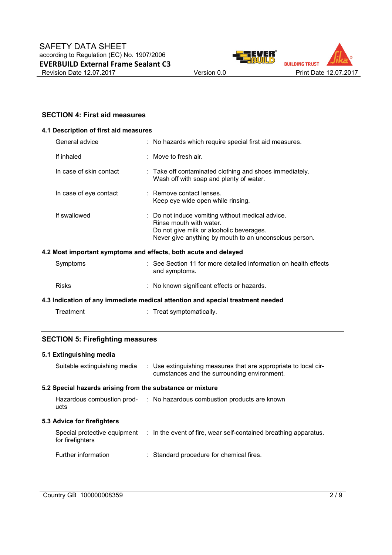



# **SECTION 4: First aid measures**

#### **4.1 Description of first aid measures**

| General advice          | : No hazards which require special first aid measures.                                                                                                                            |
|-------------------------|-----------------------------------------------------------------------------------------------------------------------------------------------------------------------------------|
| If inhaled              | $\pm$ Move to fresh air.                                                                                                                                                          |
| In case of skin contact | : Take off contaminated clothing and shoes immediately.<br>Wash off with soap and plenty of water.                                                                                |
| In case of eye contact  | : Remove contact lenses.<br>Keep eye wide open while rinsing.                                                                                                                     |
| If swallowed            | : Do not induce vomiting without medical advice.<br>Rinse mouth with water.<br>Do not give milk or alcoholic beverages.<br>Never give anything by mouth to an unconscious person. |
|                         | 4.2 Most important symptoms and effects, both acute and delayed                                                                                                                   |
| Symptoms                | : See Section 11 for more detailed information on health effects<br>and symptoms.                                                                                                 |

# Risks : No known significant effects or hazards.

# **4.3 Indication of any immediate medical attention and special treatment needed**

|  | Treatment | Treat symptomatically. |
|--|-----------|------------------------|
|--|-----------|------------------------|

# **SECTION 5: Firefighting measures**

# **5.1 Extinguishing media**

| Suitable extinguishing media                              | : Use extinguishing measures that are appropriate to local cir-<br>cumstances and the surrounding environment. |
|-----------------------------------------------------------|----------------------------------------------------------------------------------------------------------------|
| 5.2 Special hazards arising from the substance or mixture |                                                                                                                |
| ucts                                                      | Hazardous combustion prod- : No hazardous combustion products are known                                        |
|                                                           |                                                                                                                |
| 5.3 Advice for firefighters                               |                                                                                                                |
| for firefighters                                          | Special protective equipment : In the event of fire, wear self-contained breathing apparatus.                  |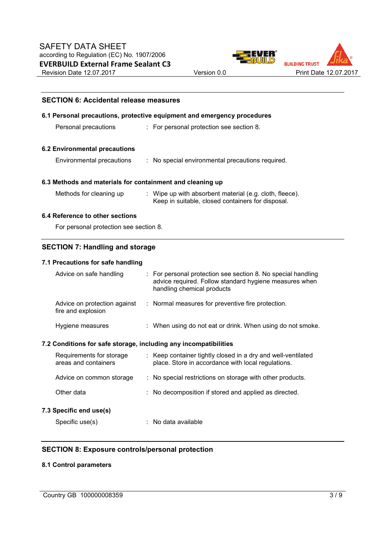



| <b>SECTION 6: Accidental release measures</b>                                                                                           |                                                                         |                                                                                                                                                    |  |  |  |
|-----------------------------------------------------------------------------------------------------------------------------------------|-------------------------------------------------------------------------|----------------------------------------------------------------------------------------------------------------------------------------------------|--|--|--|
|                                                                                                                                         | 6.1 Personal precautions, protective equipment and emergency procedures |                                                                                                                                                    |  |  |  |
| Personal precautions                                                                                                                    |                                                                         | : For personal protection see section 8.                                                                                                           |  |  |  |
| <b>6.2 Environmental precautions</b>                                                                                                    |                                                                         |                                                                                                                                                    |  |  |  |
| Environmental precautions                                                                                                               |                                                                         | : No special environmental precautions required.                                                                                                   |  |  |  |
| 6.3 Methods and materials for containment and cleaning up                                                                               |                                                                         |                                                                                                                                                    |  |  |  |
| : Wipe up with absorbent material (e.g. cloth, fleece).<br>Methods for cleaning up<br>Keep in suitable, closed containers for disposal. |                                                                         |                                                                                                                                                    |  |  |  |
| 6.4 Reference to other sections                                                                                                         |                                                                         |                                                                                                                                                    |  |  |  |
| For personal protection see section 8.                                                                                                  |                                                                         |                                                                                                                                                    |  |  |  |
| <b>SECTION 7: Handling and storage</b>                                                                                                  |                                                                         |                                                                                                                                                    |  |  |  |
| 7.1 Precautions for safe handling                                                                                                       |                                                                         |                                                                                                                                                    |  |  |  |
| Advice on safe handling                                                                                                                 |                                                                         | For personal protection see section 8. No special handling<br>advice required. Follow standard hygiene measures when<br>handling chemical products |  |  |  |
| Advice on protection against<br>fire and explosion                                                                                      |                                                                         | : Normal measures for preventive fire protection.                                                                                                  |  |  |  |
| Hygiene measures                                                                                                                        |                                                                         | : When using do not eat or drink. When using do not smoke.                                                                                         |  |  |  |
| 7.2 Conditions for safe storage, including any incompatibilities                                                                        |                                                                         |                                                                                                                                                    |  |  |  |
| Requirements for storage<br>areas and containers                                                                                        |                                                                         | : Keep container tightly closed in a dry and well-ventilated<br>place. Store in accordance with local regulations.                                 |  |  |  |
| Advice on common storage                                                                                                                |                                                                         | : No special restrictions on storage with other products.                                                                                          |  |  |  |
| Other data                                                                                                                              |                                                                         | : No decomposition if stored and applied as directed.                                                                                              |  |  |  |
|                                                                                                                                         |                                                                         |                                                                                                                                                    |  |  |  |

# **7.3 Specific end use(s)**

Specific use(s)  $\qquad \qquad$ : No data available

# **SECTION 8: Exposure controls/personal protection**

# **8.1 Control parameters**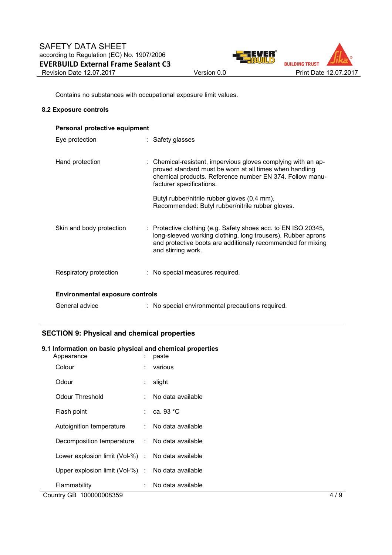

Contains no substances with occupational exposure limit values.

#### **8.2 Exposure controls**

| Personal protective equipment          |  |                                                                                                                                                                                                                     |  |  |  |
|----------------------------------------|--|---------------------------------------------------------------------------------------------------------------------------------------------------------------------------------------------------------------------|--|--|--|
| Eye protection                         |  | : Safety glasses                                                                                                                                                                                                    |  |  |  |
| Hand protection                        |  | : Chemical-resistant, impervious gloves complying with an ap-<br>proved standard must be worn at all times when handling<br>chemical products. Reference number EN 374. Follow manu-<br>facturer specifications.    |  |  |  |
|                                        |  | Butyl rubber/nitrile rubber gloves (0,4 mm),<br>Recommended: Butyl rubber/nitrile rubber gloves.                                                                                                                    |  |  |  |
| Skin and body protection               |  | : Protective clothing (e.g. Safety shoes acc. to EN ISO 20345,<br>long-sleeved working clothing, long trousers). Rubber aprons<br>and protective boots are additionaly recommended for mixing<br>and stirring work. |  |  |  |
| Respiratory protection                 |  | : No special measures required.                                                                                                                                                                                     |  |  |  |
| <b>Environmental exposure controls</b> |  |                                                                                                                                                                                                                     |  |  |  |
| General advice                         |  | : No special environmental precautions required.                                                                                                                                                                    |  |  |  |

# **SECTION 9: Physical and chemical properties**

# **9.1 Information on basic physical and chemical properties**

| Appearance                                        | ÷  | paste                  |     |
|---------------------------------------------------|----|------------------------|-----|
| Colour                                            |    | various                |     |
| Odour                                             | ÷. | slight                 |     |
| <b>Odour Threshold</b>                            | t. | No data available      |     |
| Flash point                                       |    | $\therefore$ ca. 93 °C |     |
| Autoignition temperature                          |    | : No data available    |     |
| Decomposition temperature : No data available     |    |                        |     |
| Lower explosion limit (Vol-%) : No data available |    |                        |     |
| Upper explosion limit (Vol-%) : No data available |    |                        |     |
| Flammability                                      |    | No data available      |     |
| Country GB 100000008359                           |    |                        | 4/9 |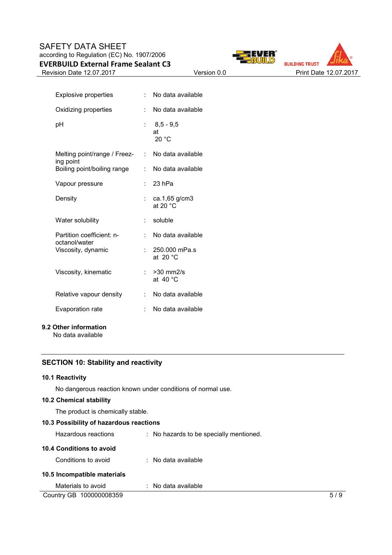# SAFETY DATA SHEET according to Regulation (EC) No. 1907/2006 **EVERBUILD External Frame Sealant C3**







| <b>Explosive properties</b>                | t in | No data available                    |
|--------------------------------------------|------|--------------------------------------|
| Oxidizing properties                       | t.   | No data available                    |
| рH                                         |      | $: 8.5 - 9.5$<br>at<br>20 °C         |
| Melting point/range / Freez-<br>ing point  | t.   | No data available                    |
| Boiling point/boiling range                | t.   | No data available                    |
| Vapour pressure                            | t.   | 23 hPa                               |
| Density                                    | t.   | ca.1,65 g/cm3<br>at 20 $^{\circ}$ C  |
| Water solubility                           | t.   | soluble                              |
| Partition coefficient: n-<br>octanol/water | t.   | No data available                    |
| Viscosity, dynamic                         |      | 250.000 mPa.s<br>at 20 $^{\circ}$ C  |
| Viscosity, kinematic                       |      | $>30$ mm $2/s$<br>at 40 $^{\circ}$ C |
| Relative vapour density                    | t.   | No data available                    |
| Evaporation rate                           |      | No data available                    |

# **9.2 Other information**

No data available

# **SECTION 10: Stability and reactivity**

#### **10.1 Reactivity**

No dangerous reaction known under conditions of normal use.

# **10.2 Chemical stability**

The product is chemically stable.

| 10.3 Possibility of hazardous reactions |                                         |     |  |  |  |
|-----------------------------------------|-----------------------------------------|-----|--|--|--|
| Hazardous reactions                     | : No hazards to be specially mentioned. |     |  |  |  |
| 10.4 Conditions to avoid                |                                         |     |  |  |  |
| Conditions to avoid                     | $\therefore$ No data available          |     |  |  |  |
| 10.5 Incompatible materials             |                                         |     |  |  |  |
| Materials to avoid                      | No data available<br>÷.                 |     |  |  |  |
| Country GB 100000008359                 |                                         | 5/9 |  |  |  |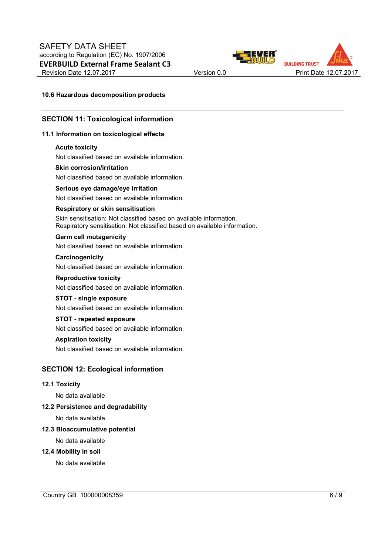



#### **10.6 Hazardous decomposition products**

#### **SECTION 11: Toxicological information**

#### **11.1 Information on toxicological effects**

#### **Acute toxicity**

Not classified based on available information.

#### **Skin corrosion/irritation**

Not classified based on available information.

# **Serious eye damage/eye irritation**

Not classified based on available information.

#### **Respiratory or skin sensitisation**

Skin sensitisation: Not classified based on available information. Respiratory sensitisation: Not classified based on available information.

#### **Germ cell mutagenicity**

Not classified based on available information.

#### **Carcinogenicity**

Not classified based on available information.

# **Reproductive toxicity**

Not classified based on available information.

# **STOT - single exposure**

Not classified based on available information.

#### **STOT - repeated exposure**

Not classified based on available information.

#### **Aspiration toxicity**

Not classified based on available information.

# **SECTION 12: Ecological information**

#### **12.1 Toxicity**

No data available

#### **12.2 Persistence and degradability**

No data available

#### **12.3 Bioaccumulative potential**

No data available

#### **12.4 Mobility in soil**

No data available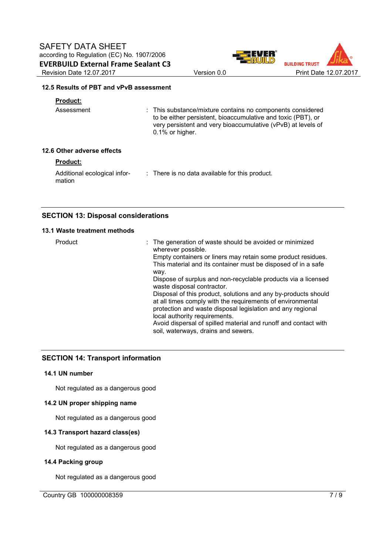



# **12.5 Results of PBT and vPvB assessment**

# **Product:**

| Assessment | : This substance/mixture contains no components considered<br>to be either persistent, bioaccumulative and toxic (PBT), or<br>very persistent and very bioaccumulative (vPvB) at levels of<br>$0.1\%$ or higher. |
|------------|------------------------------------------------------------------------------------------------------------------------------------------------------------------------------------------------------------------|
|            |                                                                                                                                                                                                                  |

# **12.6 Other adverse effects**

# **Product:**

Additional ecological infor-: There is no data available for this product. mation

# **SECTION 13: Disposal considerations**

# **13.1 Waste treatment methods**

| Product | : The generation of waste should be avoided or minimized<br>wherever possible.<br>Empty containers or liners may retain some product residues.<br>This material and its container must be disposed of in a safe<br>way.<br>Dispose of surplus and non-recyclable products via a licensed<br>waste disposal contractor.<br>Disposal of this product, solutions and any by-products should<br>at all times comply with the requirements of environmental<br>protection and waste disposal legislation and any regional<br>local authority requirements.<br>Avoid dispersal of spilled material and runoff and contact with |
|---------|--------------------------------------------------------------------------------------------------------------------------------------------------------------------------------------------------------------------------------------------------------------------------------------------------------------------------------------------------------------------------------------------------------------------------------------------------------------------------------------------------------------------------------------------------------------------------------------------------------------------------|
|         | soil, waterways, drains and sewers.                                                                                                                                                                                                                                                                                                                                                                                                                                                                                                                                                                                      |

# **SECTION 14: Transport information**

# **14.1 UN number**

Not regulated as a dangerous good

# **14.2 UN proper shipping name**

Not regulated as a dangerous good

# **14.3 Transport hazard class(es)**

Not regulated as a dangerous good

# **14.4 Packing group**

Not regulated as a dangerous good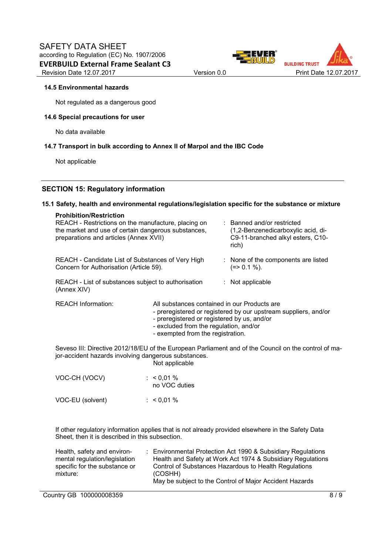



#### **14.5 Environmental hazards**

Not regulated as a dangerous good

#### **14.6 Special precautions for user**

No data available

#### **14.7 Transport in bulk according to Annex II of Marpol and the IBC Code**

Not applicable

# **SECTION 15: Regulatory information**

#### **15.1 Safety, health and environmental regulations/legislation specific for the substance or mixture**

| <b>Prohibition/Restriction</b>                                                                                                                                                                          |                               |                                                                                                                |                                                                                                                                                                                      |  |  |
|---------------------------------------------------------------------------------------------------------------------------------------------------------------------------------------------------------|-------------------------------|----------------------------------------------------------------------------------------------------------------|--------------------------------------------------------------------------------------------------------------------------------------------------------------------------------------|--|--|
| REACH - Restrictions on the manufacture, placing on<br>the market and use of certain dangerous substances,<br>preparations and articles (Annex XVII)                                                    |                               | : Banned and/or restricted<br>(1,2-Benzenedicarboxylic acid, di-<br>C9-11-branched alkyl esters, C10-<br>rich) |                                                                                                                                                                                      |  |  |
| REACH - Candidate List of Substances of Very High<br>Concern for Authorisation (Article 59).                                                                                                            |                               | : None of the components are listed<br>$(=>0.1\%).$                                                            |                                                                                                                                                                                      |  |  |
| REACH - List of substances subject to authorisation<br>(Annex XIV)                                                                                                                                      |                               |                                                                                                                | : Not applicable                                                                                                                                                                     |  |  |
| <b>REACH Information:</b><br>All substances contained in our Products are<br>- preregistered or registered by us, and/or<br>- excluded from the regulation, and/or<br>- exempted from the registration. |                               |                                                                                                                | - preregistered or registered by our upstream suppliers, and/or                                                                                                                      |  |  |
| Seveso III: Directive 2012/18/EU of the European Parliament and of the Council on the control of ma-<br>jor-accident hazards involving dangerous substances.<br>Not applicable                          |                               |                                                                                                                |                                                                                                                                                                                      |  |  |
| VOC-CH (VOCV)                                                                                                                                                                                           | : $< 0.01 %$<br>no VOC duties |                                                                                                                |                                                                                                                                                                                      |  |  |
| VOC-EU (solvent)                                                                                                                                                                                        | $: 60,01\%$                   |                                                                                                                |                                                                                                                                                                                      |  |  |
| If other regulatory information applies that is not already provided elsewhere in the Safety Data<br>Sheet, then it is described in this subsection.                                                    |                               |                                                                                                                |                                                                                                                                                                                      |  |  |
| Health, safety and environ-<br>mental regulation/legislation<br>specific for the substance or<br>mixture:                                                                                               | (COSHH)                       |                                                                                                                | : Environmental Protection Act 1990 & Subsidiary Regulations<br>Health and Safety at Work Act 1974 & Subsidiary Regulations<br>Control of Substances Hazardous to Health Regulations |  |  |

May be subject to the Control of Major Accident Hazards